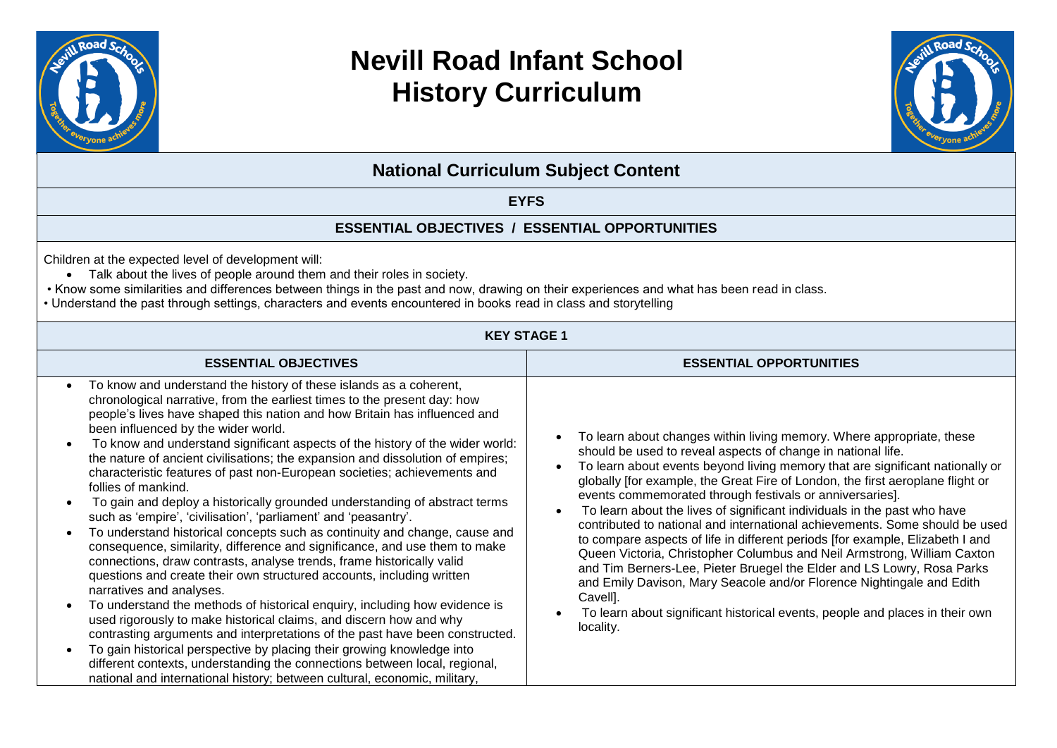

# **Nevill Road Infant School History Curriculum**



**National Curriculum Subject Content**

### **EYFS**

### **ESSENTIAL OBJECTIVES / ESSENTIAL OPPORTUNITIES**

Children at the expected level of development will:

- Talk about the lives of people around them and their roles in society.
- Know some similarities and differences between things in the past and now, drawing on their experiences and what has been read in class.
- Understand the past through settings, characters and events encountered in books read in class and storytelling

| <b>KEY STAGE 1</b>                                                                                                                                                                                                                                                                                                                                                                                                                                                                                                                                                                                                                                                                                                                                                                                                                                                                                                                                                                                                                                                                                                                                                                                                                                                                                                                                                                                                                                                                                                                                  |                                                                                                                                                                                                                                                                                                                                                                                                                                                                                                                                                                                                                                                                                                                                                                                                                                                                                                                                                         |  |  |  |
|-----------------------------------------------------------------------------------------------------------------------------------------------------------------------------------------------------------------------------------------------------------------------------------------------------------------------------------------------------------------------------------------------------------------------------------------------------------------------------------------------------------------------------------------------------------------------------------------------------------------------------------------------------------------------------------------------------------------------------------------------------------------------------------------------------------------------------------------------------------------------------------------------------------------------------------------------------------------------------------------------------------------------------------------------------------------------------------------------------------------------------------------------------------------------------------------------------------------------------------------------------------------------------------------------------------------------------------------------------------------------------------------------------------------------------------------------------------------------------------------------------------------------------------------------------|---------------------------------------------------------------------------------------------------------------------------------------------------------------------------------------------------------------------------------------------------------------------------------------------------------------------------------------------------------------------------------------------------------------------------------------------------------------------------------------------------------------------------------------------------------------------------------------------------------------------------------------------------------------------------------------------------------------------------------------------------------------------------------------------------------------------------------------------------------------------------------------------------------------------------------------------------------|--|--|--|
| <b>ESSENTIAL OBJECTIVES</b>                                                                                                                                                                                                                                                                                                                                                                                                                                                                                                                                                                                                                                                                                                                                                                                                                                                                                                                                                                                                                                                                                                                                                                                                                                                                                                                                                                                                                                                                                                                         | <b>ESSENTIAL OPPORTUNITIES</b>                                                                                                                                                                                                                                                                                                                                                                                                                                                                                                                                                                                                                                                                                                                                                                                                                                                                                                                          |  |  |  |
| To know and understand the history of these islands as a coherent,<br>$\bullet$<br>chronological narrative, from the earliest times to the present day: how<br>people's lives have shaped this nation and how Britain has influenced and<br>been influenced by the wider world.<br>To know and understand significant aspects of the history of the wider world:<br>$\bullet$<br>the nature of ancient civilisations; the expansion and dissolution of empires;<br>characteristic features of past non-European societies; achievements and<br>follies of mankind.<br>To gain and deploy a historically grounded understanding of abstract terms<br>such as 'empire', 'civilisation', 'parliament' and 'peasantry'.<br>To understand historical concepts such as continuity and change, cause and<br>$\bullet$<br>consequence, similarity, difference and significance, and use them to make<br>connections, draw contrasts, analyse trends, frame historically valid<br>questions and create their own structured accounts, including written<br>narratives and analyses.<br>To understand the methods of historical enquiry, including how evidence is<br>used rigorously to make historical claims, and discern how and why<br>contrasting arguments and interpretations of the past have been constructed.<br>To gain historical perspective by placing their growing knowledge into<br>different contexts, understanding the connections between local, regional,<br>national and international history; between cultural, economic, military, | To learn about changes within living memory. Where appropriate, these<br>should be used to reveal aspects of change in national life.<br>To learn about events beyond living memory that are significant nationally or<br>globally [for example, the Great Fire of London, the first aeroplane flight or<br>events commemorated through festivals or anniversaries].<br>To learn about the lives of significant individuals in the past who have<br>contributed to national and international achievements. Some should be used<br>to compare aspects of life in different periods [for example, Elizabeth I and<br>Queen Victoria, Christopher Columbus and Neil Armstrong, William Caxton<br>and Tim Berners-Lee, Pieter Bruegel the Elder and LS Lowry, Rosa Parks<br>and Emily Davison, Mary Seacole and/or Florence Nightingale and Edith<br>Cavell].<br>To learn about significant historical events, people and places in their own<br>locality. |  |  |  |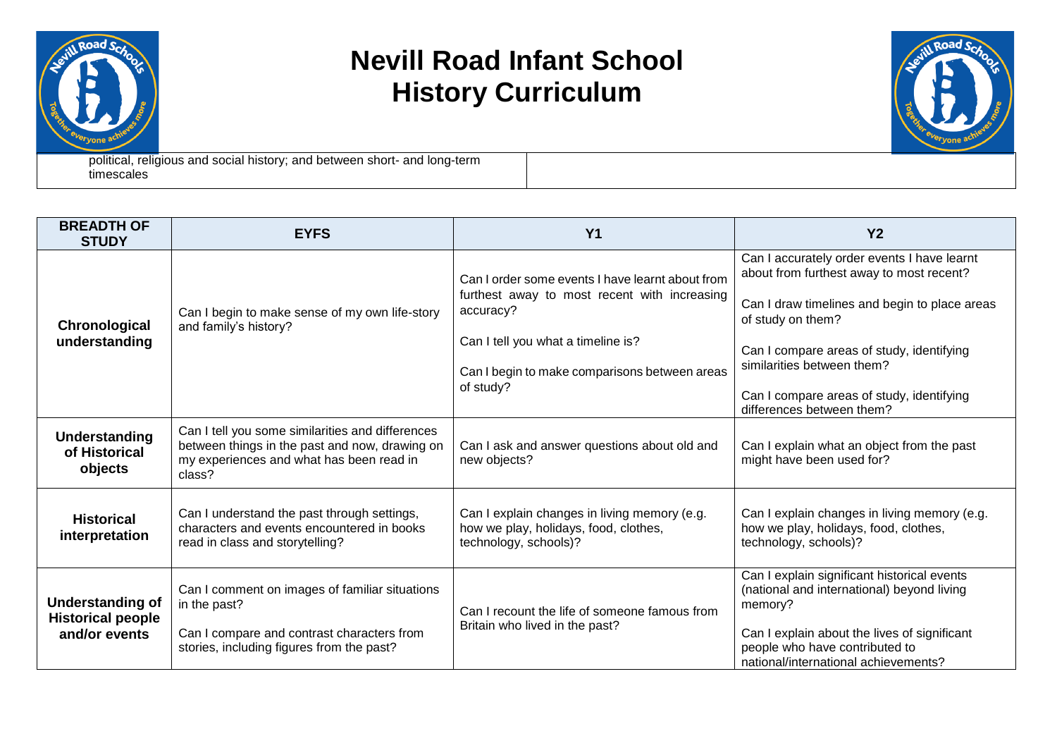

# **Nevill Road Infant School History Curriculum**



political, religious and social history; and between short- and long-term timescales

| <b>BREADTH OF</b><br><b>STUDY</b>                                    | <b>EYFS</b>                                                                                                                                               | <b>Y1</b>                                                                                                                                                                                                         | <b>Y2</b>                                                                                                                                                                                                                                                                                                          |
|----------------------------------------------------------------------|-----------------------------------------------------------------------------------------------------------------------------------------------------------|-------------------------------------------------------------------------------------------------------------------------------------------------------------------------------------------------------------------|--------------------------------------------------------------------------------------------------------------------------------------------------------------------------------------------------------------------------------------------------------------------------------------------------------------------|
| Chronological<br>understanding                                       | Can I begin to make sense of my own life-story<br>and family's history?                                                                                   | Can I order some events I have learnt about from<br>furthest away to most recent with increasing<br>accuracy?<br>Can I tell you what a timeline is?<br>Can I begin to make comparisons between areas<br>of study? | Can I accurately order events I have learnt<br>about from furthest away to most recent?<br>Can I draw timelines and begin to place areas<br>of study on them?<br>Can I compare areas of study, identifying<br>similarities between them?<br>Can I compare areas of study, identifying<br>differences between them? |
| Understanding<br>of Historical<br>objects                            | Can I tell you some similarities and differences<br>between things in the past and now, drawing on<br>my experiences and what has been read in<br>class?  | Can I ask and answer questions about old and<br>new objects?                                                                                                                                                      | Can I explain what an object from the past<br>might have been used for?                                                                                                                                                                                                                                            |
| <b>Historical</b><br>interpretation                                  | Can I understand the past through settings,<br>characters and events encountered in books<br>read in class and storytelling?                              | Can I explain changes in living memory (e.g.<br>how we play, holidays, food, clothes,<br>technology, schools)?                                                                                                    | Can I explain changes in living memory (e.g.<br>how we play, holidays, food, clothes,<br>technology, schools)?                                                                                                                                                                                                     |
| <b>Understanding of</b><br><b>Historical people</b><br>and/or events | Can I comment on images of familiar situations<br>in the past?<br>Can I compare and contrast characters from<br>stories, including figures from the past? | Can I recount the life of someone famous from<br>Britain who lived in the past?                                                                                                                                   | Can I explain significant historical events<br>(national and international) beyond living<br>memory?<br>Can I explain about the lives of significant<br>people who have contributed to<br>national/international achievements?                                                                                     |